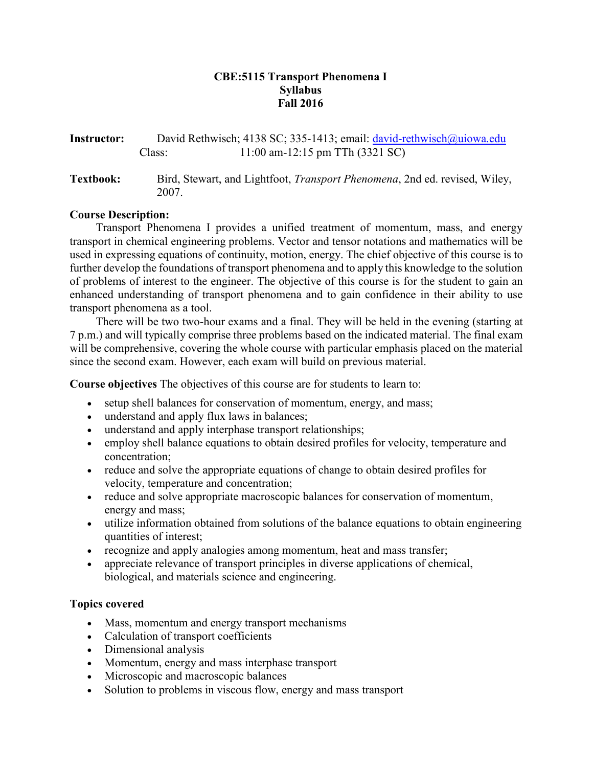## **CBE:5115 Transport Phenomena I Syllabus Fall 2016**

| Instructor:      | David Rethwisch; 4138 SC; 335-1413; email: david-rethwisch@ujowa.edu |                                                                                    |  |  |
|------------------|----------------------------------------------------------------------|------------------------------------------------------------------------------------|--|--|
|                  | Class:                                                               | $11:00$ am-12:15 pm TTh (3321 SC)                                                  |  |  |
| <b>Textbook:</b> | 2007.                                                                | Bird, Stewart, and Lightfoot, <i>Transport Phenomena</i> , 2nd ed. revised, Wiley, |  |  |

## **Course Description:**

Transport Phenomena I provides a unified treatment of momentum, mass, and energy transport in chemical engineering problems. Vector and tensor notations and mathematics will be used in expressing equations of continuity, motion, energy. The chief objective of this course is to further develop the foundations of transport phenomena and to apply this knowledge to the solution of problems of interest to the engineer. The objective of this course is for the student to gain an enhanced understanding of transport phenomena and to gain confidence in their ability to use transport phenomena as a tool.

There will be two two-hour exams and a final. They will be held in the evening (starting at 7 p.m.) and will typically comprise three problems based on the indicated material. The final exam will be comprehensive, covering the whole course with particular emphasis placed on the material since the second exam. However, each exam will build on previous material.

**Course objectives** The objectives of this course are for students to learn to:

- setup shell balances for conservation of momentum, energy, and mass;
- understand and apply flux laws in balances;
- understand and apply interphase transport relationships;
- employ shell balance equations to obtain desired profiles for velocity, temperature and concentration;
- reduce and solve the appropriate equations of change to obtain desired profiles for velocity, temperature and concentration;
- reduce and solve appropriate macroscopic balances for conservation of momentum, energy and mass;
- utilize information obtained from solutions of the balance equations to obtain engineering quantities of interest;
- recognize and apply analogies among momentum, heat and mass transfer;
- appreciate relevance of transport principles in diverse applications of chemical, biological, and materials science and engineering.

## **Topics covered**

- Mass, momentum and energy transport mechanisms
- Calculation of transport coefficients
- Dimensional analysis
- Momentum, energy and mass interphase transport
- Microscopic and macroscopic balances
- Solution to problems in viscous flow, energy and mass transport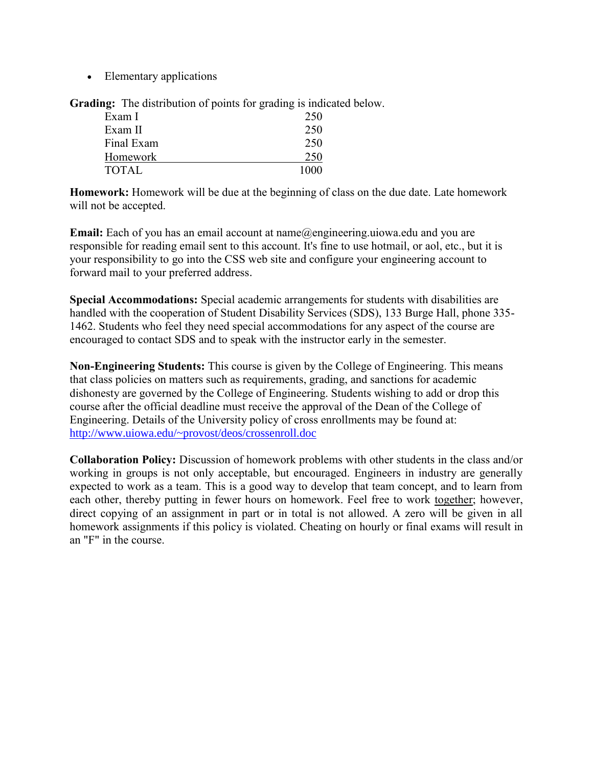• Elementary applications

**Grading:** The distribution of points for grading is indicated below.

| Exam I       | 250  |
|--------------|------|
| Exam II      | 250  |
| Final Exam   | 250  |
| Homework     | 250  |
| <b>TOTAL</b> | 1000 |

**Homework:** Homework will be due at the beginning of class on the due date. Late homework will not be accepted.

**Email:** Each of you has an email account at name@engineering.uiowa.edu and you are responsible for reading email sent to this account. It's fine to use hotmail, or aol, etc., but it is your responsibility to go into the CSS web site and configure your engineering account to forward mail to your preferred address.

**Special Accommodations:** Special academic arrangements for students with disabilities are handled with the cooperation of Student Disability Services (SDS), 133 Burge Hall, phone 335- 1462. Students who feel they need special accommodations for any aspect of the course are encouraged to contact SDS and to speak with the instructor early in the semester.

**Non-Engineering Students:** This course is given by the College of Engineering. This means that class policies on matters such as requirements, grading, and sanctions for academic dishonesty are governed by the College of Engineering. Students wishing to add or drop this course after the official deadline must receive the approval of the Dean of the College of Engineering. Details of the University policy of cross enrollments may be found at: <http://www.uiowa.edu/~provost/deos/crossenroll.doc>

**Collaboration Policy:** Discussion of homework problems with other students in the class and/or working in groups is not only acceptable, but encouraged. Engineers in industry are generally expected to work as a team. This is a good way to develop that team concept, and to learn from each other, thereby putting in fewer hours on homework. Feel free to work together; however, direct copying of an assignment in part or in total is not allowed. A zero will be given in all homework assignments if this policy is violated. Cheating on hourly or final exams will result in an "F" in the course.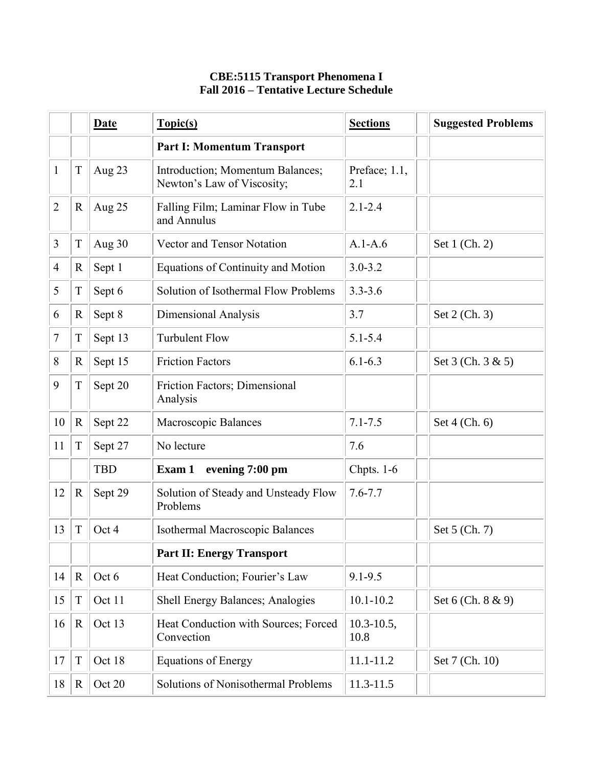## **CBE:5115 Transport Phenomena I Fall 2016 – Tentative Lecture Schedule**

|                |             | Date       | Topic(s)                                                       | <b>Sections</b>         | <b>Suggested Problems</b> |
|----------------|-------------|------------|----------------------------------------------------------------|-------------------------|---------------------------|
|                |             |            | <b>Part I: Momentum Transport</b>                              |                         |                           |
| 1              | $\mathbf T$ | Aug 23     | Introduction; Momentum Balances;<br>Newton's Law of Viscosity; | Preface; 1.1,<br>2.1    |                           |
| 2              | R           | Aug 25     | Falling Film; Laminar Flow in Tube<br>and Annulus              | $2.1 - 2.4$             |                           |
| 3              | T           | Aug 30     | Vector and Tensor Notation                                     | $A.1-A.6$               | Set 1 (Ch. 2)             |
| $\overline{4}$ | R           | Sept 1     | <b>Equations of Continuity and Motion</b>                      | $3.0 - 3.2$             |                           |
| 5              | $\mathbf T$ | Sept 6     | Solution of Isothermal Flow Problems                           | $3.3 - 3.6$             |                           |
| 6              | R           | Sept 8     | Dimensional Analysis                                           | 3.7                     | Set 2 (Ch. 3)             |
| 7              | T           | Sept 13    | <b>Turbulent Flow</b>                                          | $5.1 - 5.4$             |                           |
| 8              | $\mathbf R$ | Sept 15    | <b>Friction Factors</b>                                        | $6.1 - 6.3$             | Set 3 (Ch. 3 & 5)         |
| 9              | T           | Sept 20    | Friction Factors; Dimensional<br>Analysis                      |                         |                           |
| 10             | $\mathbf R$ | Sept 22    | Macroscopic Balances                                           | $7.1 - 7.5$             | Set 4 (Ch. 6)             |
| 11             | T           | Sept 27    | No lecture                                                     | 7.6                     |                           |
|                |             | <b>TBD</b> | evening 7:00 pm<br>Exam 1                                      | Chpts. 1-6              |                           |
| 12             | $\mathbf R$ | Sept 29    | Solution of Steady and Unsteady Flow<br>Problems               | $7.6 - 7.7$             |                           |
| 13             | T           | Oct 4      | Isothermal Macroscopic Balances                                |                         | Set 5 (Ch. 7)             |
|                |             |            | <b>Part II: Energy Transport</b>                               |                         |                           |
| 14             | $\mathbf R$ | Oct 6      | Heat Conduction; Fourier's Law                                 | $9.1 - 9.5$             |                           |
| 15             | T           | Oct 11     | Shell Energy Balances; Analogies                               | $10.1 - 10.2$           | Set 6 (Ch. 8 & 9)         |
| 16             | $\mathbf R$ | Oct 13     | Heat Conduction with Sources; Forced<br>Convection             | $10.3 - 10.5$ ,<br>10.8 |                           |
| 17             | $\mathbf T$ | Oct 18     | <b>Equations of Energy</b>                                     | $11.1 - 11.2$           | Set 7 (Ch. 10)            |
| 18             | $\mathbf R$ | Oct 20     | Solutions of Nonisothermal Problems                            | $11.3 - 11.5$           |                           |